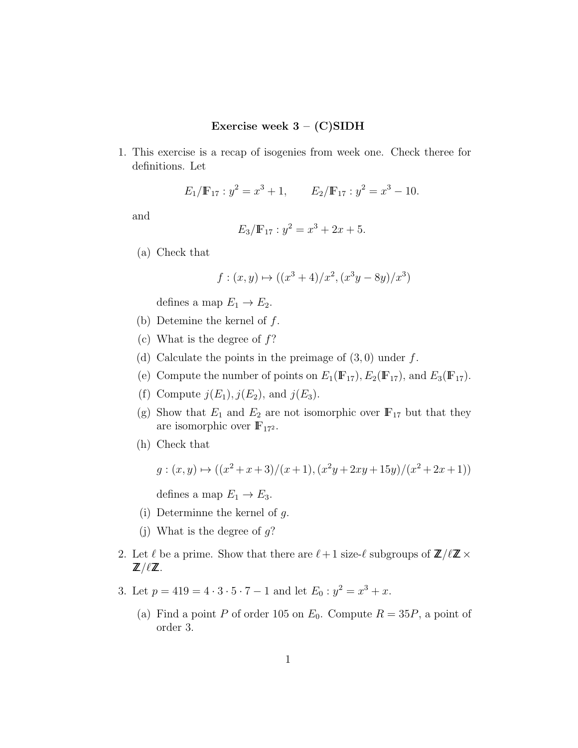## Exercise week  $3 - (C)SIDH$

1. This exercise is a recap of isogenies from week one. Check theree for definitions. Let

$$
E_1/\mathbb{F}_{17}: y^2 = x^3 + 1,
$$
  $E_2/\mathbb{F}_{17}: y^2 = x^3 - 10.$ 

and

$$
E_3/\mathbb{F}_{17} : y^2 = x^3 + 2x + 5.
$$

(a) Check that

$$
f: (x, y) \mapsto ((x^3 + 4)/x^2, (x^3y - 8y)/x^3)
$$

defines a map  $E_1 \rightarrow E_2$ .

- (b) Detemine the kernel of  $f$ .
- (c) What is the degree of  $f$ ?
- (d) Calculate the points in the preimage of  $(3,0)$  under f.
- (e) Compute the number of points on  $E_1(\mathbb{F}_{17})$ ,  $E_2(\mathbb{F}_{17})$ , and  $E_3(\mathbb{F}_{17})$ .
- (f) Compute  $j(E_1), j(E_2)$ , and  $j(E_3)$ .
- (g) Show that  $E_1$  and  $E_2$  are not isomorphic over  $\mathbb{F}_{17}$  but that they are isomorphic over  $\mathbb{F}_{17^2}$ .
- (h) Check that

$$
g: (x, y) \mapsto ((x^2 + x + 3)/(x + 1), (x^2y + 2xy + 15y)/(x^2 + 2x + 1))
$$

defines a map  $E_1 \rightarrow E_3$ .

- (i) Determinne the kernel of  $g$ .
- (j) What is the degree of  $g$ ?
- 2. Let  $\ell$  be a prime. Show that there are  $\ell + 1$  size- $\ell$  subgroups of  $\mathbb{Z}/\ell\mathbb{Z}\times$  $\mathbb{Z}/\ell\mathbb{Z}$  .
- 3. Let  $p = 419 = 4 \cdot 3 \cdot 5 \cdot 7 1$  and let  $E_0: y^2 = x^3 + x$ .
	- (a) Find a point P of order 105 on  $E_0$ . Compute  $R = 35P$ , a point of order 3.